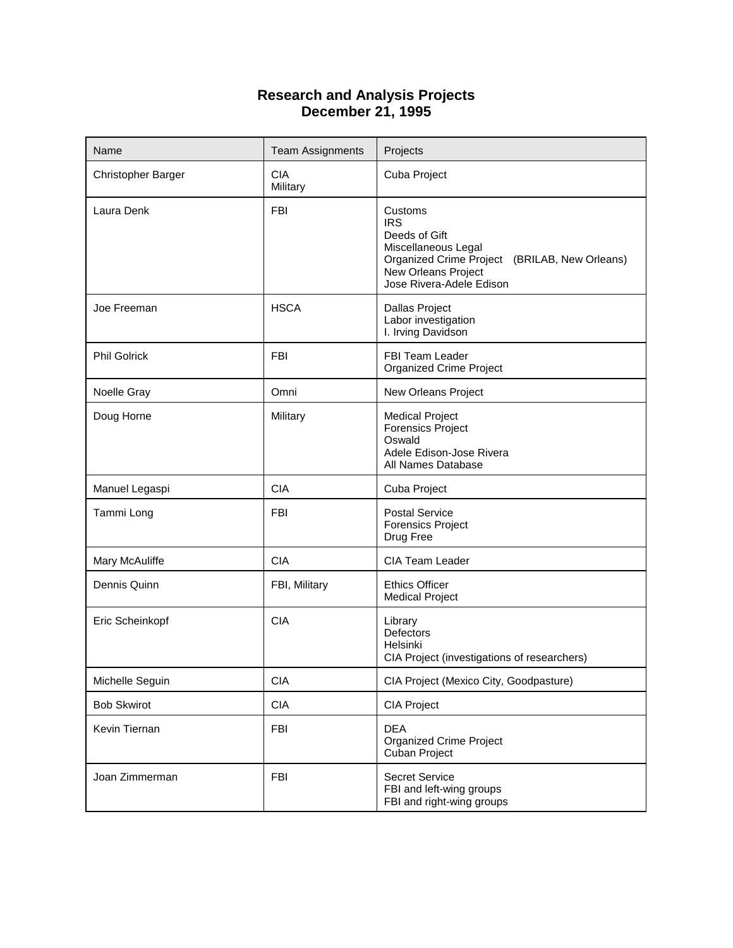## **Research and Analysis Projects December 21, 1995**

| Name                      | <b>Team Assignments</b> | Projects                                                                                                                                                          |  |
|---------------------------|-------------------------|-------------------------------------------------------------------------------------------------------------------------------------------------------------------|--|
| <b>Christopher Barger</b> | <b>CIA</b><br>Military  | Cuba Project                                                                                                                                                      |  |
| Laura Denk                | <b>FBI</b>              | Customs<br><b>IRS</b><br>Deeds of Gift<br>Miscellaneous Legal<br>Organized Crime Project (BRILAB, New Orleans)<br>New Orleans Project<br>Jose Rivera-Adele Edison |  |
| Joe Freeman               | <b>HSCA</b>             | Dallas Project<br>Labor investigation<br>I. Irving Davidson                                                                                                       |  |
| <b>Phil Golrick</b>       | <b>FBI</b>              | FBI Team Leader<br><b>Organized Crime Project</b>                                                                                                                 |  |
| Noelle Gray               | Omni                    | New Orleans Project                                                                                                                                               |  |
| Doug Horne                | Military                | <b>Medical Project</b><br><b>Forensics Project</b><br>Oswald<br>Adele Edison-Jose Rivera<br>All Names Database                                                    |  |
| Manuel Legaspi            | <b>CIA</b>              | Cuba Project                                                                                                                                                      |  |
| Tammi Long                | <b>FBI</b>              | <b>Postal Service</b><br><b>Forensics Project</b><br>Drug Free                                                                                                    |  |
| Mary McAuliffe            | <b>CIA</b>              | <b>CIA Team Leader</b>                                                                                                                                            |  |
| Dennis Quinn              | FBI, Military           | <b>Ethics Officer</b><br><b>Medical Project</b>                                                                                                                   |  |
| Eric Scheinkopf           | <b>CIA</b>              | Library<br>Defectors<br>Helsinki<br>CIA Project (investigations of researchers)                                                                                   |  |
| Michelle Seguin           | <b>CIA</b>              | CIA Project (Mexico City, Goodpasture)                                                                                                                            |  |
| <b>Bob Skwirot</b>        | <b>CIA</b>              | CIA Project                                                                                                                                                       |  |
| Kevin Tiernan             | <b>FBI</b>              | <b>DEA</b><br><b>Organized Crime Project</b><br>Cuban Project                                                                                                     |  |
| Joan Zimmerman            | <b>FBI</b>              | Secret Service<br>FBI and left-wing groups<br>FBI and right-wing groups                                                                                           |  |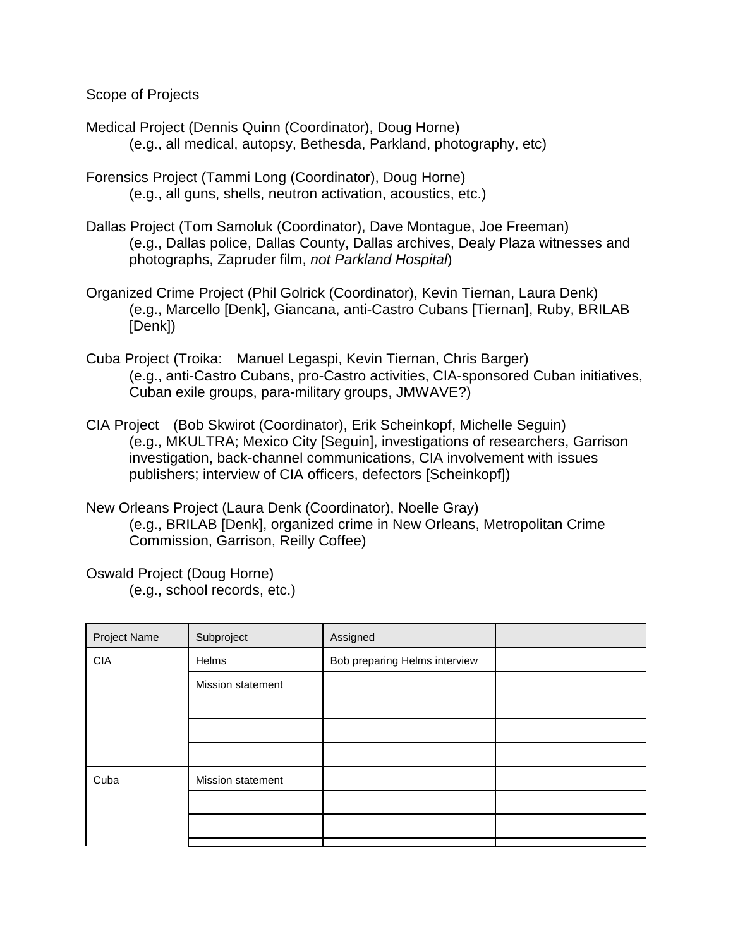Scope of Projects

- Medical Project (Dennis Quinn (Coordinator), Doug Horne) (e.g., all medical, autopsy, Bethesda, Parkland, photography, etc)
- Forensics Project (Tammi Long (Coordinator), Doug Horne) (e.g., all guns, shells, neutron activation, acoustics, etc.)
- Dallas Project (Tom Samoluk (Coordinator), Dave Montague, Joe Freeman) (e.g., Dallas police, Dallas County, Dallas archives, Dealy Plaza witnesses and photographs, Zapruder film, *not Parkland Hospital*)
- Organized Crime Project (Phil Golrick (Coordinator), Kevin Tiernan, Laura Denk) (e.g., Marcello [Denk], Giancana, anti-Castro Cubans [Tiernan], Ruby, BRILAB [Denk])
- Cuba Project (Troika: Manuel Legaspi, Kevin Tiernan, Chris Barger) (e.g., anti-Castro Cubans, pro-Castro activities, CIA-sponsored Cuban initiatives, Cuban exile groups, para-military groups, JMWAVE?)
- CIA Project (Bob Skwirot (Coordinator), Erik Scheinkopf, Michelle Seguin) (e.g., MKULTRA; Mexico City [Seguin], investigations of researchers, Garrison investigation, back-channel communications, CIA involvement with issues publishers; interview of CIA officers, defectors [Scheinkopf])
- New Orleans Project (Laura Denk (Coordinator), Noelle Gray) (e.g., BRILAB [Denk], organized crime in New Orleans, Metropolitan Crime Commission, Garrison, Reilly Coffee)

Oswald Project (Doug Horne)

(e.g., school records, etc.)

| Project Name | Subproject        | Assigned                      |  |
|--------------|-------------------|-------------------------------|--|
| <b>CIA</b>   | Helms             | Bob preparing Helms interview |  |
|              | Mission statement |                               |  |
|              |                   |                               |  |
|              |                   |                               |  |
|              |                   |                               |  |
| Cuba         | Mission statement |                               |  |
|              |                   |                               |  |
|              |                   |                               |  |
|              |                   |                               |  |